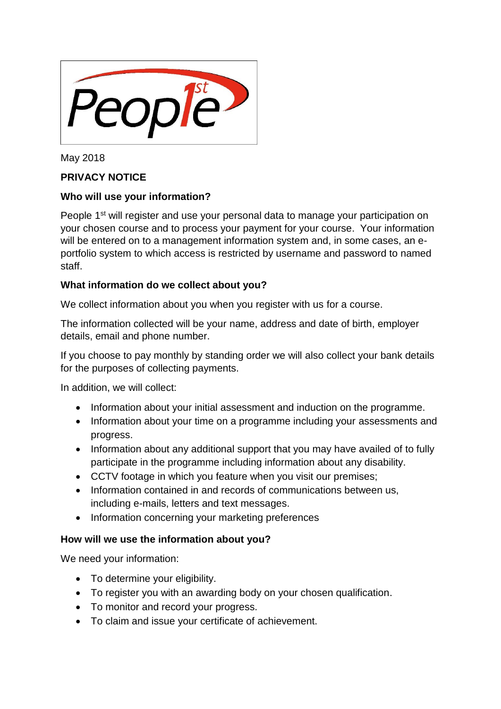

May 2018

# **PRIVACY NOTICE**

# **Who will use your information?**

People 1<sup>st</sup> will register and use your personal data to manage your participation on your chosen course and to process your payment for your course. Your information will be entered on to a management information system and, in some cases, an eportfolio system to which access is restricted by username and password to named staff.

# **What information do we collect about you?**

We collect information about you when you register with us for a course.

The information collected will be your name, address and date of birth, employer details, email and phone number.

If you choose to pay monthly by standing order we will also collect your bank details for the purposes of collecting payments.

In addition, we will collect:

- Information about your initial assessment and induction on the programme.
- Information about your time on a programme including your assessments and progress.
- Information about any additional support that you may have availed of to fully participate in the programme including information about any disability.
- CCTV footage in which you feature when you visit our premises;
- Information contained in and records of communications between us, including e-mails, letters and text messages.
- Information concerning your marketing preferences

# **How will we use the information about you?**

We need your information:

- To determine your eligibility.
- To register you with an awarding body on your chosen qualification.
- To monitor and record your progress.
- To claim and issue your certificate of achievement.